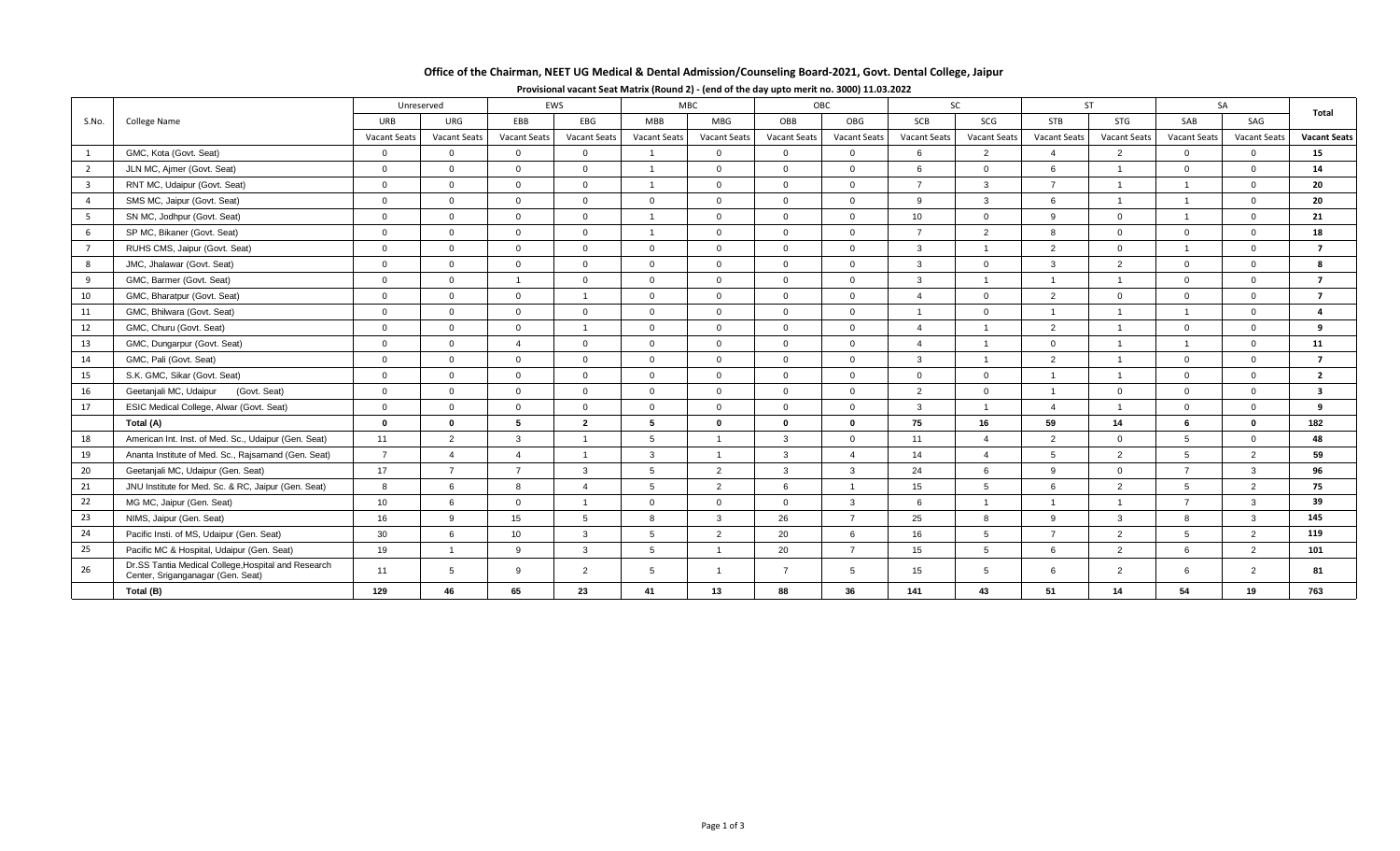| Office of the Chairman, NEET UG Medical & Dental Admission/Counseling Board-2021, Govt. Dental College, Jaipur |  |
|----------------------------------------------------------------------------------------------------------------|--|
|----------------------------------------------------------------------------------------------------------------|--|

| Provisional vacant Seat Matrix (Round 2) - (end of the day upto merit no. 3000) 11.03.2022 |  |
|--------------------------------------------------------------------------------------------|--|
|--------------------------------------------------------------------------------------------|--|

|                         |                                                                                          |                     | <b>MBC</b><br>OBC<br>EWS<br>Unreserved |                | <b>SC</b>           |                     | <b>ST</b>           |                     | SA                  |                 | Total               |                     |                     |                     |                     |                         |
|-------------------------|------------------------------------------------------------------------------------------|---------------------|----------------------------------------|----------------|---------------------|---------------------|---------------------|---------------------|---------------------|-----------------|---------------------|---------------------|---------------------|---------------------|---------------------|-------------------------|
| S.No.                   | College Name                                                                             | <b>URB</b>          | URG                                    | EBB            | EBG                 | <b>MBB</b>          | <b>MBG</b>          | OBB                 | OBG                 | SCB             | SCG                 | <b>STB</b>          | <b>STG</b>          | SAB                 | SAG                 |                         |
|                         |                                                                                          | <b>Vacant Seats</b> | <b>Vacant Seats</b>                    | Vacant Seats   | <b>Vacant Seats</b> | <b>Vacant Seats</b> | <b>Vacant Seats</b> | <b>Vacant Seats</b> | <b>Vacant Seats</b> | Vacant Seats    | <b>Vacant Seats</b> | <b>Vacant Seats</b> | <b>Vacant Seats</b> | <b>Vacant Seats</b> | <b>Vacant Seats</b> | <b>Vacant Seats</b>     |
| $\mathbf{1}$            | GMC, Kota (Govt. Seat)                                                                   | $\overline{0}$      | $\overline{0}$                         | $\overline{0}$ | $\overline{0}$      | $\overline{1}$      | $\overline{0}$      | $\Omega$            | $\overline{0}$      | 6               | 2                   | $\overline{4}$      | 2                   | $\Omega$            | $\Omega$            | 15                      |
| $\overline{2}$          | JLN MC, Ajmer (Govt. Seat)                                                               | $\overline{0}$      | $\Omega$                               | $\Omega$       | $\Omega$            | $\overline{1}$      | $\Omega$            | $\Omega$            | $\Omega$            | 6               | $\Omega$            | 6                   |                     | $\Omega$            | $\Omega$            | 14                      |
| $\overline{\mathbf{3}}$ | RNT MC, Udaipur (Govt. Seat)                                                             | $\overline{0}$      | $\overline{0}$                         | $\overline{0}$ | $\Omega$            | $\overline{1}$      | $\Omega$            | $\Omega$            | $\Omega$            | $\overline{7}$  | $\mathbf{3}$        | $\overline{7}$      |                     | $\overline{1}$      | $\Omega$            | 20                      |
| $\overline{4}$          | SMS MC, Jaipur (Govt. Seat)                                                              | $\overline{0}$      | $\overline{0}$                         | $\overline{0}$ | $\Omega$            | $\Omega$            | $\Omega$            | $\Omega$            | $\Omega$            | 9               | $\mathbf{3}$        | 6                   |                     | 1                   | $\Omega$            | 20                      |
| 5 <sub>5</sub>          | SN MC, Jodhpur (Govt. Seat)                                                              | $\overline{0}$      | $\Omega$                               | $\Omega$       | $\Omega$            | $\overline{1}$      | $\Omega$            | $\Omega$            | $\Omega$            | 10 <sup>1</sup> | $\Omega$            | 9                   | $\Omega$            |                     | $\Omega$            | 21                      |
| 6                       | SP MC, Bikaner (Govt. Seat)                                                              | $\mathbf 0$         | $\Omega$                               | $\Omega$       | $\Omega$            | $\overline{1}$      | $\Omega$            | $\Omega$            | $\Omega$            | $\overline{7}$  | 2                   | $\mathsf{R}$        | $\Omega$            | $\Omega$            | $\Omega$            | 18                      |
| $7^{\circ}$             | RUHS CMS, Jaipur (Govt. Seat)                                                            | $\mathsf 0$         | $\overline{0}$                         | $\overline{0}$ | $\mathbf 0$         | $\mathbf{0}$        | $\Omega$            | $\Omega$            | $\mathbf{0}$        | $\mathbf{3}$    | $\overline{1}$      | $\overline{2}$      | $\overline{0}$      | 1                   | $\Omega$            | $\overline{7}$          |
| 8                       | JMC, Jhalawar (Govt. Seat)                                                               | $\mathbf 0$         | $\overline{0}$                         | $\Omega$       | $\Omega$            | $\Omega$            | $\Omega$            | $\Omega$            | $\Omega$            | $\mathbf{3}$    | $\Omega$            | 3                   | 2                   | $\Omega$            | $\Omega$            | 8                       |
| 9                       | GMC, Barmer (Govt. Seat)                                                                 | $\overline{0}$      | $\Omega$                               | $\overline{1}$ | $\Omega$            | $\Omega$            | $\Omega$            | $\Omega$            | $\Omega$            | $\mathbf{3}$    |                     |                     |                     | $\Omega$            | $\Omega$            | $\overline{7}$          |
| 10 <sup>10</sup>        | GMC, Bharatpur (Govt. Seat)                                                              | $\mathbf 0$         | $\overline{0}$                         | $\Omega$       | $\overline{1}$      | $\Omega$            | $\Omega$            | $\Omega$            | $\Omega$            | $\overline{4}$  | $\Omega$            | $\overline{2}$      | $\Omega$            | $\Omega$            | $\Omega$            | $\overline{7}$          |
| 11                      | GMC, Bhilwara (Govt. Seat)                                                               | $\overline{0}$      | $\overline{0}$                         | $\overline{0}$ | $\overline{0}$      | $\overline{0}$      | $\Omega$            | $\Omega$            | $\overline{0}$      | $\overline{1}$  | $\overline{0}$      |                     |                     | $\overline{1}$      | $\Omega$            | $\overline{a}$          |
| 12                      | GMC, Churu (Govt. Seat)                                                                  | $\mathbf 0$         | $\overline{0}$                         | $\overline{0}$ | $\overline{1}$      | $\Omega$            | $\Omega$            | $\Omega$            | $\Omega$            | $\overline{4}$  |                     | $\overline{2}$      |                     | $\overline{0}$      | $\Omega$            | 9                       |
| 13                      | GMC, Dungarpur (Govt. Seat)                                                              | $\overline{0}$      | $\Omega$                               | $\Delta$       | $\Omega$            | $\Omega$            | $\Omega$            | $\Omega$            | $\Omega$            | $\overline{4}$  |                     | $\Omega$            |                     | $\overline{ }$      | $\Omega$            | 11                      |
| 14                      | GMC, Pali (Govt. Seat)                                                                   | $\mathbf 0$         | $\overline{0}$                         | $\overline{0}$ | $\Omega$            | $\overline{0}$      | $\Omega$            | $\Omega$            | $\mathbf 0$         | $\mathbf{3}$    |                     | $\overline{2}$      |                     | $\Omega$            | $\Omega$            | $\overline{7}$          |
| 15                      | S.K. GMC. Sikar (Govt. Seat)                                                             | $\overline{0}$      | $\overline{0}$                         | $\overline{0}$ | $\mathbf{0}$        | $\mathbf{0}$        | $\Omega$            | $\Omega$            | $\mathbf{0}$        | $\overline{0}$  | $\overline{0}$      |                     |                     | $\overline{0}$      | $\Omega$            | $\overline{2}$          |
| 16                      | Geetanjali MC, Udaipur<br>(Govt. Seat)                                                   | $\overline{0}$      | $\Omega$                               | $\Omega$       | $\Omega$            | $\Omega$            | $\Omega$            | $\Omega$            | $\Omega$            | 2               | $\Omega$            |                     | $\Omega$            | $\Omega$            | $\Omega$            | $\overline{\mathbf{3}}$ |
| 17                      | ESIC Medical College, Alwar (Govt. Seat)                                                 | $\mathbf 0$         | $\Omega$                               | $\overline{0}$ | $\Omega$            | $\Omega$            | $\Omega$            | $\Omega$            | $\Omega$            | $\mathbf{3}$    | $\overline{1}$      | $\overline{4}$      |                     | $\Omega$            | $\Omega$            | 9                       |
|                         | Total (A)                                                                                | $\mathbf 0$         | $\mathbf 0$                            | 5              | $\overline{2}$      | 5                   | $\Omega$            | $\Omega$            | $\mathbf 0$         | 75              | 16                  | 59                  | 14                  | 6                   | $\mathbf{0}$        | 182                     |
| 18                      | American Int. Inst. of Med. Sc., Udaipur (Gen. Seat)                                     | 11                  | $\overline{2}$                         | $\overline{3}$ | $\overline{1}$      | 5                   | $\overline{1}$      | 3                   | $\Omega$            | 11              | $\overline{4}$      | $\overline{2}$      | $\Omega$            | $5^{\circ}$         | $\Omega$            | 48                      |
| 19                      | Ananta Institute of Med. Sc., Rajsamand (Gen. Seat)                                      | $\overline{7}$      | $\overline{4}$                         | $\Delta$       | $\overline{1}$      | 3                   | $\overline{1}$      | 3                   | $\Delta$            | 14              | $\overline{4}$      | $5^{\circ}$         | 2                   | $\overline{5}$      | 2                   | 59                      |
| 20                      | Geetanjali MC, Udaipur (Gen. Seat)                                                       | 17                  | $\overline{7}$                         | $\overline{7}$ | $\mathbf{3}$        | 5                   | 2                   | $\mathbf{3}$        | $\mathbf{3}$        | 24              | 6                   | 9                   | $\Omega$            | $\overline{7}$      | 3                   | 96                      |
| 21                      | JNU Institute for Med. Sc. & RC, Jaipur (Gen. Seat)                                      | 8                   | 6                                      | 8              | $\overline{4}$      | 5                   | $\mathcal{P}$       | 6                   | $\overline{1}$      | 15              | $5^{\circ}$         | 6                   | 2                   | $5^{\circ}$         | 2                   | 75                      |
| 22                      | MG MC, Jaipur (Gen. Seat)                                                                | 10                  | 6                                      | $\overline{0}$ | $\overline{1}$      | $\Omega$            | $\Omega$            | $\Omega$            | $\mathbf{3}$        | 6               |                     |                     |                     | $\overline{7}$      | 3                   | 39                      |
| 23                      | NIMS, Jaipur (Gen. Seat)                                                                 | 16                  | 9                                      | 15             | -5                  | 8                   | 3                   | 26                  | $\overline{7}$      | 25              | 8                   | 9                   | $\mathbf{3}$        | 8                   | 3                   | 145                     |
| 24                      | Pacific Insti. of MS, Udaipur (Gen. Seat)                                                | 30                  | 6                                      | 10             | 3                   | 5                   | $\mathcal{P}$       | 20                  | 6                   | 16              | $5^{\circ}$         | $\overline{7}$      | 2                   | $5^{\circ}$         | $\overline{2}$      | 119                     |
| 25                      | Pacific MC & Hospital, Udaipur (Gen. Seat)                                               | 19                  | $\mathbf{1}$                           | 9              | 3                   | 5                   | $\overline{1}$      | 20                  | $\overline{7}$      | 15              | $5^{\circ}$         | 6                   | 2                   | 6                   | $\overline{2}$      | 101                     |
| 26                      | Dr.SS Tantia Medical College, Hospital and Research<br>Center, Sriganganagar (Gen. Seat) | 11                  | 5                                      | q              | $\mathcal{P}$       | 5                   | -1                  |                     | -5                  | 15              | 5                   | 6                   | 2                   | 6                   | 2                   | 81                      |
|                         | Total (B)                                                                                | 129                 | 46                                     | 65             | 23                  | 41                  | 13                  | 88                  | 36                  | 141             | 43                  | 51                  | 14                  | 54                  | 19                  | 763                     |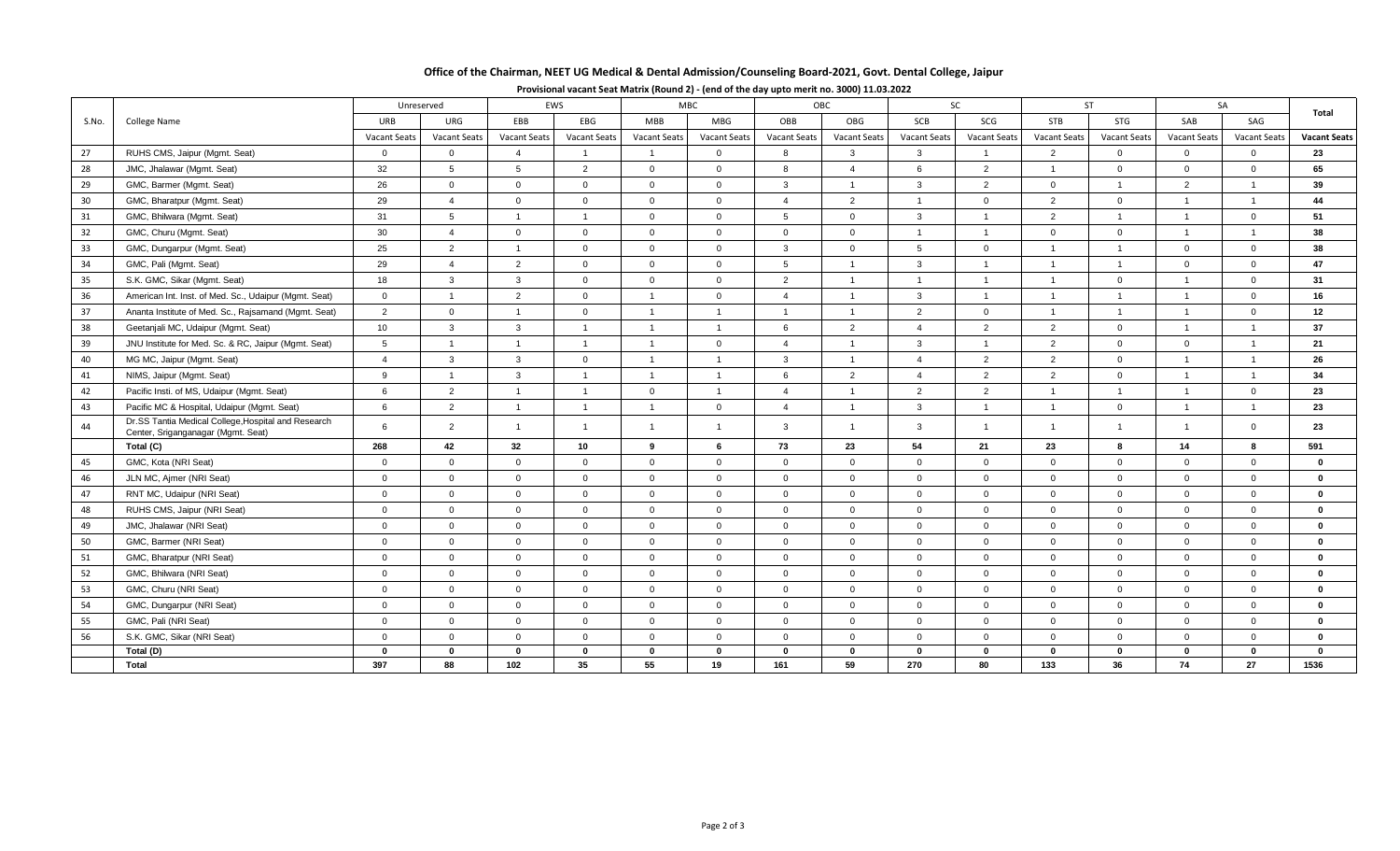## **Office of the Chairman, NEET UG Medical & Dental Admission/Counseling Board-2021, Govt. Dental College, Jaipur**

| Provisional vacant Seat Matrix (Round 2) - (end of the day upto merit no. 3000) 11.03.2022 |  |
|--------------------------------------------------------------------------------------------|--|
|--------------------------------------------------------------------------------------------|--|

|       |                                                                                           |                     | Unreserved          |                     | <b>EWS</b>               |                         | <b>MBC</b>          |                         | OBC            |                     | <b>SC</b>           |                     | <b>ST</b>           |                     | SA                  |                     |
|-------|-------------------------------------------------------------------------------------------|---------------------|---------------------|---------------------|--------------------------|-------------------------|---------------------|-------------------------|----------------|---------------------|---------------------|---------------------|---------------------|---------------------|---------------------|---------------------|
| S.No. | College Name                                                                              | <b>URB</b>          | URG                 | EBB                 | EBG                      | <b>MBB</b>              | MBG                 | OBB                     | OBG            | SCB                 | SCG                 | <b>STB</b>          | <b>STG</b>          | SAB                 | SAG                 | Total               |
|       |                                                                                           | <b>Vacant Seats</b> | <b>Vacant Seats</b> | <b>Vacant Seats</b> | <b>Vacant Seats</b>      | <b>Vacant Seats</b>     | <b>Vacant Seats</b> | <b>Vacant Seats</b>     | Vacant Seats   | <b>Vacant Seats</b> | <b>Vacant Seats</b> | <b>Vacant Seats</b> | <b>Vacant Seats</b> | <b>Vacant Seats</b> | <b>Vacant Seats</b> | <b>Vacant Seats</b> |
| 27    | RUHS CMS, Jaipur (Mgmt. Seat)                                                             | $\overline{0}$      | $\overline{0}$      | $\overline{4}$      | $\overline{1}$           | $\overline{1}$          | $\overline{0}$      | 8                       | $\mathbf{3}$   | $\mathbf{3}$        | $\overline{1}$      | 2                   | $\Omega$            | $\Omega$            | $\Omega$            | 23                  |
| 28    | JMC, Jhalawar (Mgmt. Seat)                                                                | 32                  | $5\overline{5}$     | $5\overline{5}$     | 2                        | $\mathbf 0$             | $\mathbf 0$         | 8                       | $\overline{4}$ | 6                   | $\overline{2}$      | $\overline{1}$      | $\overline{0}$      | $\overline{0}$      | $\mathbf{0}$        | 65                  |
| 29    | GMC, Barmer (Mgmt. Seat)                                                                  | 26                  | $\overline{0}$      | $\overline{0}$      | $\mathbf{0}$             | $\overline{0}$          | $\overline{0}$      | 3                       | $\overline{1}$ | $\mathbf{3}$        | 2                   | $\overline{0}$      | $\overline{1}$      | $\overline{2}$      | $\overline{1}$      | 39                  |
| 30    | GMC, Bharatpur (Mgmt. Seat)                                                               | 29                  | $\overline{4}$      | $\overline{0}$      | $\mathbf{0}$             | $\overline{0}$          | $\overline{0}$      | $\overline{4}$          | 2              | $\overline{1}$      | $\mathbf 0$         | $\overline{2}$      | $\overline{0}$      | $\overline{1}$      | $\overline{1}$      | 44                  |
| 31    | GMC, Bhilwara (Mgmt. Seat)                                                                | 31                  | 5 <sup>5</sup>      | $\overline{1}$      | $\overline{1}$           | $\overline{0}$          | $\overline{0}$      | 5                       | $\overline{0}$ | $\mathbf{3}$        | $\overline{1}$      | 2                   | $\overline{1}$      | $\overline{1}$      | $\overline{0}$      | 51                  |
| 32    | GMC, Churu (Mgmt. Seat)                                                                   | 30                  | $\overline{4}$      | $\overline{0}$      | $\mathbf{0}$             | $\overline{0}$          | $\overline{0}$      | $\overline{0}$          | $\overline{0}$ | $\overline{1}$      | $\overline{1}$      | $\overline{0}$      | $\overline{0}$      | $\overline{1}$      | $\overline{1}$      | 38                  |
| 33    | GMC, Dungarpur (Mgmt. Seat)                                                               | 25                  | $\overline{2}$      | $\overline{1}$      | $\mathbf{0}$             | $\overline{0}$          | $\overline{0}$      | $\mathbf{3}$            | $\mathbf{0}$   | 5                   | $\overline{0}$      | $\overline{1}$      | $\overline{1}$      | $\overline{0}$      | $\overline{0}$      | 38                  |
| 34    | GMC, Pali (Mgmt. Seat)                                                                    | 29                  | $\overline{4}$      | $\overline{2}$      | $\Omega$                 | $\overline{0}$          | $\overline{0}$      | 5                       | $\overline{1}$ | $\mathbf{3}$        | $\overline{1}$      | $\overline{1}$      | $\overline{1}$      | $\overline{0}$      | $\overline{0}$      | 47                  |
| 35    | S.K. GMC, Sikar (Mgmt. Seat)                                                              | 18                  | 3                   | $\mathbf{3}$        | $\overline{0}$           | $\overline{0}$          | $\overline{0}$      | $\overline{2}$          | $\overline{1}$ | $\overline{1}$      | $\overline{1}$      | $\overline{1}$      | $\Omega$            |                     | $\overline{0}$      | 31                  |
| 36    | American Int. Inst. of Med. Sc., Udaipur (Mgmt. Seat)                                     | $\overline{0}$      | $\overline{1}$      | 2                   | $\Omega$                 | $\overline{1}$          | $\Omega$            | $\overline{\mathbf{A}}$ | $\overline{1}$ | $\mathbf{3}$        | $\mathbf{1}$        | $\overline{1}$      | $\overline{1}$      | $\overline{1}$      | $\Omega$            | 16                  |
| 37    | Ananta Institute of Med. Sc., Rajsamand (Mgmt. Seat)                                      | $\overline{2}$      | $\overline{0}$      |                     | $\overline{0}$           | $\overline{1}$          | $\overline{1}$      | $\overline{1}$          | $\overline{1}$ | 2                   | $\overline{0}$      | $\overline{1}$      | $\overline{1}$      | $\overline{1}$      | $\Omega$            | 12                  |
| 38    | Geetanjali MC, Udaipur (Mgmt. Seat)                                                       | 10                  | $\mathbf{3}$        | $\mathbf{3}$        | $\overline{1}$           | $\overline{1}$          | $\overline{1}$      | 6                       | 2              | $\overline{4}$      | 2                   | 2                   | $\overline{0}$      | $\overline{1}$      | $\overline{1}$      | 37                  |
| 39    | JNU Institute for Med. Sc. & RC, Jaipur (Mgmt. Seat)                                      | $5\phantom{.0}$     | $\overline{1}$      | $\overline{1}$      | $\overline{\phantom{0}}$ | $\overline{1}$          | $\overline{0}$      | $\Delta$                | $\overline{1}$ | $\mathbf{3}$        | $\mathbf{1}$        | 2                   | $\Omega$            | $\overline{0}$      | $\overline{1}$      | 21                  |
| 40    | MG MC, Jaipur (Mgmt. Seat)                                                                | $\overline{4}$      | $\mathbf{3}$        | $\mathbf{3}$        | $\mathsf{O}$             | $\overline{1}$          | $\overline{1}$      | $\mathbf{3}$            | $\mathbf{1}$   | $\overline{4}$      | 2                   | $\overline{2}$      | $\Omega$            | $\overline{1}$      | $\overline{1}$      | 26                  |
| 41    | NIMS, Jaipur (Mgmt. Seat)                                                                 | 9                   | $\overline{1}$      | $\mathbf{3}$        | $\overline{1}$           | $\overline{1}$          | $\overline{1}$      | 6                       | 2              | $\overline{4}$      | 2                   | $\overline{2}$      | $\Omega$            | $\overline{1}$      | $\overline{1}$      | 34                  |
| 42    | Pacific Insti. of MS, Udaipur (Mgmt. Seat)                                                | 6                   | $\overline{2}$      | $\overline{1}$      | $\overline{1}$           | $\overline{\mathbf{0}}$ | $\overline{1}$      | $\overline{4}$          | $\overline{1}$ | 2                   | 2                   | $\overline{1}$      | $\overline{1}$      | $\overline{1}$      | $\overline{0}$      | 23                  |
| 43    | Pacific MC & Hospital, Udaipur (Mgmt. Seat)                                               | 6                   | $\overline{2}$      | $\overline{1}$      | $\overline{1}$           | $\overline{1}$          | $\overline{0}$      | $\overline{4}$          | $\overline{1}$ | $\mathbf{3}$        | $\overline{1}$      | $\overline{1}$      | $\overline{0}$      | $\overline{1}$      | $\overline{1}$      | 23                  |
| 44    | Dr.SS Tantia Medical College, Hospital and Research<br>Center, Sriganganagar (Mgmt. Seat) | 6                   | $\overline{2}$      |                     | $\overline{1}$           | $\overline{1}$          | $\overline{1}$      | 3                       | $\overline{1}$ | $\mathbf{3}$        | $\overline{1}$      |                     |                     |                     | $\overline{0}$      | 23                  |
|       | Total (C)                                                                                 | 268                 | 42                  | 32                  | 10                       | 9                       | 6                   | 73                      | 23             | 54                  | 21                  | 23                  | 8                   | 14                  | 8                   | 591                 |
| 45    | GMC, Kota (NRI Seat)                                                                      | $\mathbf{0}$        | $\overline{0}$      | $\overline{0}$      | $\mathbf 0$              | $\overline{0}$          | $\Omega$            | $\overline{0}$          | $\mathbf{0}$   | $\overline{0}$      | $\Omega$            | $\Omega$            | $\Omega$            | $\Omega$            | $\Omega$            | $\bf{0}$            |
| 46    | JLN MC, Ajmer (NRI Seat)                                                                  | $\mathbf 0$         | $\mathbf{0}$        | $\overline{0}$      | $\mathsf{O}$             | $\mathbf 0$             | $\mathbf 0$         | $\overline{0}$          | $\mathbf 0$    | $\overline{0}$      | $\overline{0}$      | $\overline{0}$      | $\overline{0}$      | $\overline{0}$      | $\mathbf{0}$        | $\mathbf 0$         |
| 47    | RNT MC, Udaipur (NRI Seat)                                                                | $\mathsf 0$         | $\overline{0}$      | $\overline{0}$      | $\overline{0}$           | $\overline{0}$          | $\overline{0}$      | $\Omega$                | $\mathbf{0}$   | $\overline{0}$      | $\mathbf{0}$        | $\overline{0}$      | $\overline{0}$      | $\overline{0}$      | $\mathbf 0$         | $\mathbf 0$         |
| 48    | RUHS CMS, Jaipur (NRI Seat)                                                               | $\mathbf 0$         | $\overline{0}$      | $\overline{0}$      | $\overline{0}$           | $\overline{0}$          | $\overline{0}$      | $\overline{0}$          | $\mathbf{0}$   | $\overline{0}$      | $\overline{0}$      | $\overline{0}$      | $\overline{0}$      | $\overline{0}$      | $\mathbf 0$         | $\mathbf 0$         |
| 49    | JMC. Jhalawar (NRI Seat)                                                                  | $\overline{0}$      | $\overline{0}$      | $\overline{0}$      | $\overline{0}$           | $\overline{0}$          | $\Omega$            | $\overline{0}$          | $\Omega$       | $\overline{0}$      | $\Omega$            | $\Omega$            | $\Omega$            | $\Omega$            | $\Omega$            | $\mathbf 0$         |
| 50    | GMC, Barmer (NRI Seat)                                                                    | $\mathbf 0$         | $\overline{0}$      | $\overline{0}$      | $\mathbf{0}$             | $\overline{0}$          | $\overline{0}$      | $\overline{0}$          | $\mathbf{0}$   | $\overline{0}$      | $\overline{0}$      | $\overline{0}$      | $\overline{0}$      | $\overline{0}$      | $\overline{0}$      | $\mathbf 0$         |
| 51    | GMC, Bharatpur (NRI Seat)                                                                 | $\mathbf 0$         | $\mathbf{0}$        | $\overline{0}$      | $\mathbf{0}$             | $\overline{0}$          | $\overline{0}$      | $\overline{0}$          | $\mathbf{0}$   | $\overline{0}$      | $\overline{0}$      | $\overline{0}$      | $\overline{0}$      | $\overline{0}$      | $\overline{0}$      | $\mathbf 0$         |
| 52    | GMC, Bhilwara (NRI Seat)                                                                  | $\mathbf{0}$        | $\mathbf{0}$        | $\Omega$            | $\Omega$                 | $\overline{0}$          | $\overline{0}$      | $\overline{0}$          | $\Omega$       | $\Omega$            | $\Omega$            | $\Omega$            | $\Omega$            | $\Omega$            | $\Omega$            | $\mathbf{0}$        |
| 53    | GMC, Churu (NRI Seat)                                                                     | $\mathsf 0$         | $\mathbf{0}$        | $\mathbf 0$         | $\Omega$                 | $\overline{0}$          | $\overline{0}$      | $\overline{0}$          | $\Omega$       | $\overline{0}$      | $\Omega$            | $\Omega$            | $\Omega$            | $\Omega$            | $\mathbf 0$         | $\mathbf 0$         |
| 54    | GMC, Dungarpur (NRI Seat)                                                                 | $\overline{0}$      | $\overline{0}$      | $\overline{0}$      | $\Omega$                 | $\overline{0}$          | $\Omega$            | $\Omega$                | $\Omega$       | $\overline{0}$      | $\Omega$            | $\Omega$            | $\Omega$            | $\Omega$            | $\Omega$            | $\mathbf 0$         |
| 55    | GMC, Pali (NRI Seat)                                                                      | $\overline{0}$      | $\overline{0}$      | $\overline{0}$      | $\overline{0}$           | $\overline{0}$          | $\overline{0}$      | $\overline{0}$          | $\mathbf{0}$   | $\overline{0}$      | $\Omega$            | $\Omega$            | $\Omega$            | $\overline{0}$      | $\Omega$            | $\mathbf{0}$        |
| 56    | S.K. GMC, Sikar (NRI Seat)                                                                | $\mathbf 0$         | $\mathbf 0$         | $\overline{0}$      | $\mathsf{O}$             | $\mathbf 0$             | $\overline{0}$      | $\overline{0}$          | $\mathbf{0}$   | $\overline{0}$      | $\overline{0}$      | $\overline{0}$      | $\overline{0}$      | $\overline{0}$      | $\overline{0}$      | $\mathbf 0$         |
|       | Total (D)                                                                                 | $\mathbf{0}$        | $\mathbf{0}$        | $\mathbf{0}$        | $\bf{0}$                 | $\mathbf 0$             | $\mathbf{0}$        | $\mathbf{0}$            | $\mathbf{0}$   | $\bf{0}$            | $\bf{0}$            | $\mathbf{0}$        | $\Omega$            | $\mathbf 0$         | $\mathbf{0}$        | $\mathbf 0$         |
|       | <b>Total</b>                                                                              | 397                 | 88                  | 102                 | 35                       | 55                      | 19                  | 161                     | 59             | 270                 | 80                  | 133                 | 36                  | 74                  | 27                  | 1536                |